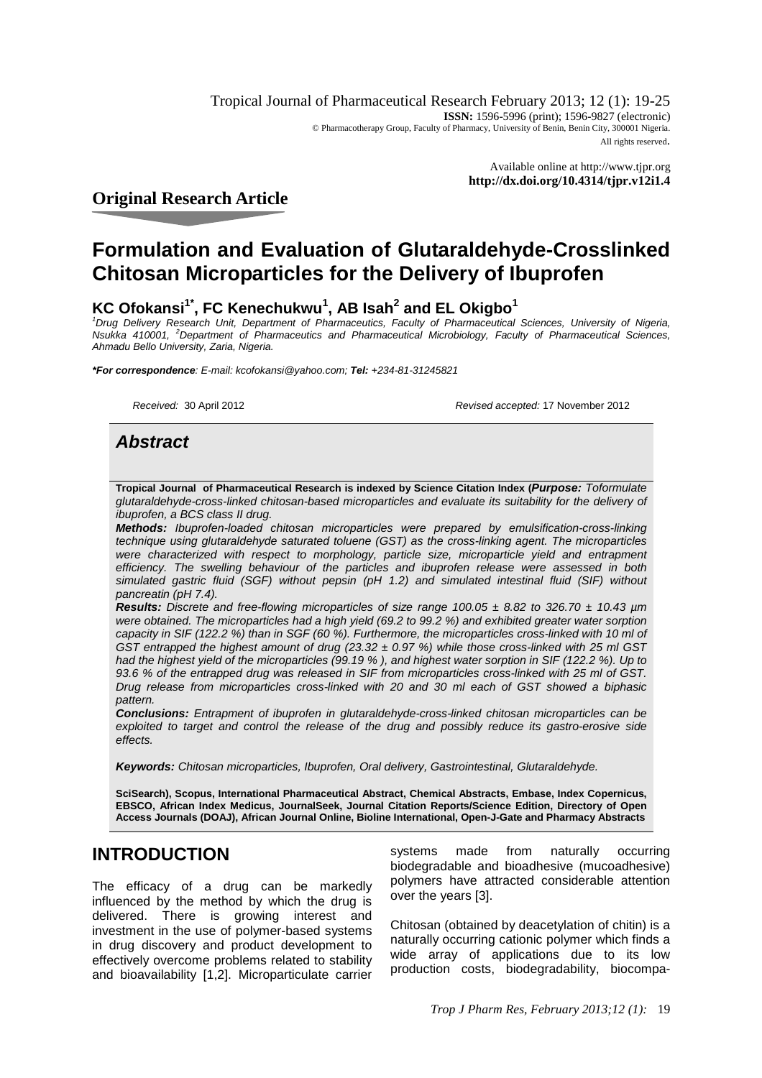Tropical Journal of Pharmaceutical Research February 2013; 12 (1): 19-25 **ISSN:** 1596-5996 (print); 1596-9827 (electronic) © Pharmacotherapy Group, Faculty of Pharmacy, University of Benin, Benin City, 300001 Nigeria. All rights reserved.

> Available online at http://www.tjpr.org **http://dx.doi.org/10.4314/tjpr.v12i1.4**

## **Original Research Article**

# **Formulation and Evaluation of Glutaraldehyde-Crosslinked Chitosan Microparticles for the Delivery of Ibuprofen**

## **KC Ofokansi1\*, FC Kenechukwu<sup>1</sup> , AB Isah<sup>2</sup> and EL Okigbo<sup>1</sup>**

<sup>1</sup>Drug Delivery Research Unit, Department of Pharmaceutics, Faculty of Pharmaceutical Sciences, University of Nigeria, Nsukka 410001, <sup>2</sup>Department of Pharmaceutics and Pharmaceutical Microbiology, Faculty of Pharmaceutical Sciences, Ahmadu Bello University, Zaria, Nigeria.

**\*For correspondence**: E-mail: kcofokansi@yahoo.com; **Tel:** +234-81-31245821

Received: 30 April 2012 Revised accepted: 17 November 2012

# **Abstract**

**Tropical Journal of Pharmaceutical Research is indexed by Science Citation Index (Purpose:** Toformulate glutaraldehyde-cross-linked chitosan-based microparticles and evaluate its suitability for the delivery of ibuprofen, a BCS class II drug.

**Methods:** Ibuprofen-loaded chitosan microparticles were prepared by emulsification-cross-linking technique using glutaraldehyde saturated toluene (GST) as the cross-linking agent. The microparticles were characterized with respect to morphology, particle size, microparticle yield and entrapment efficiency. The swelling behaviour of the particles and ibuprofen release were assessed in both simulated gastric fluid (SGF) without pepsin (pH 1.2) and simulated intestinal fluid (SIF) without pancreatin (pH 7.4).

**Results:** Discrete and free-flowing microparticles of size range  $100.05 \pm 8.82$  to 326.70  $\pm$  10.43 µm were obtained. The microparticles had a high yield (69.2 to 99.2 %) and exhibited greater water sorption capacity in SIF (122.2 %) than in SGF (60 %). Furthermore, the microparticles cross-linked with 10 ml of GST entrapped the highest amount of drug (23.32  $\pm$  0.97 %) while those cross-linked with 25 ml GST had the highest yield of the microparticles (99.19 % ), and highest water sorption in SIF (122.2 %). Up to 93.6 % of the entrapped drug was released in SIF from microparticles cross-linked with 25 ml of GST. Drug release from microparticles cross-linked with 20 and 30 ml each of GST showed a biphasic pattern.

**Conclusions:** Entrapment of ibuprofen in glutaraldehyde-cross-linked chitosan microparticles can be exploited to target and control the release of the drug and possibly reduce its gastro-erosive side effects.

**Keywords:** Chitosan microparticles, Ibuprofen, Oral delivery, Gastrointestinal, Glutaraldehyde.

**SciSearch), Scopus, International Pharmaceutical Abstract, Chemical Abstracts, Embase, Index Copernicus, EBSCO, African Index Medicus, JournalSeek, Journal Citation Reports/Science Edition, Directory of Open Access Journals (DOAJ), African Journal Online, Bioline International, Open-J-Gate and Pharmacy Abstracts** 

# **INTRODUCTION**

The efficacy of a drug can be markedly influenced by the method by which the drug is delivered. There is growing interest and investment in the use of polymer-based systems in drug discovery and product development to effectively overcome problems related to stability and bioavailability [1,2]. Microparticulate carrier

systems made from naturally occurring biodegradable and bioadhesive (mucoadhesive) polymers have attracted considerable attention over the years [3].

Chitosan (obtained by deacetylation of chitin) is a naturally occurring cationic polymer which finds a wide array of applications due to its low production costs, biodegradability, biocompa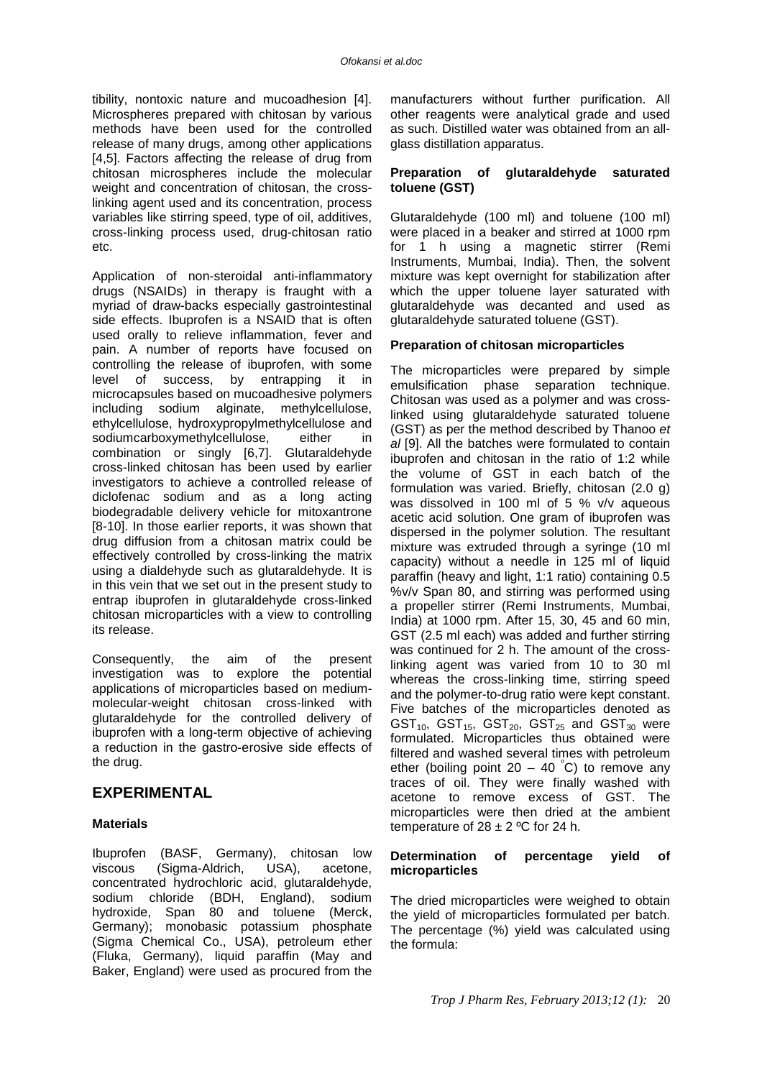tibility, nontoxic nature and mucoadhesion [4]. Microspheres prepared with chitosan by various methods have been used for the controlled release of many drugs, among other applications [4,5]. Factors affecting the release of drug from chitosan microspheres include the molecular weight and concentration of chitosan, the crosslinking agent used and its concentration, process variables like stirring speed, type of oil, additives, cross-linking process used, drug-chitosan ratio etc.

Application of non-steroidal anti-inflammatory drugs (NSAIDs) in therapy is fraught with a myriad of draw-backs especially gastrointestinal side effects. Ibuprofen is a NSAID that is often used orally to relieve inflammation, fever and pain. A number of reports have focused on controlling the release of ibuprofen, with some level of success, by entrapping it in microcapsules based on mucoadhesive polymers including sodium alginate, methylcellulose, ethylcellulose, hydroxypropylmethylcellulose and sodiumcarboxymethylcellulose, either in combination or singly [6,7]. Glutaraldehyde cross-linked chitosan has been used by earlier investigators to achieve a controlled release of diclofenac sodium and as a long acting biodegradable delivery vehicle for mitoxantrone [8-10]. In those earlier reports, it was shown that drug diffusion from a chitosan matrix could be effectively controlled by cross-linking the matrix using a dialdehyde such as glutaraldehyde. It is in this vein that we set out in the present study to entrap ibuprofen in glutaraldehyde cross-linked chitosan microparticles with a view to controlling its release.

Consequently, the aim of the present investigation was to explore the potential applications of microparticles based on mediummolecular-weight chitosan cross-linked with glutaraldehyde for the controlled delivery of ibuprofen with a long-term objective of achieving a reduction in the gastro-erosive side effects of the drug.

#### **EXPERIMENTAL**

#### **Materials**

Ibuprofen (BASF, Germany), chitosan low viscous (Sigma-Aldrich, USA), acetone, concentrated hydrochloric acid, glutaraldehyde, sodium chloride (BDH, England), sodium hydroxide, Span 80 and toluene (Merck, Germany); monobasic potassium phosphate (Sigma Chemical Co., USA), petroleum ether (Fluka, Germany), liquid paraffin (May and Baker, England) were used as procured from the

manufacturers without further purification. All other reagents were analytical grade and used as such. Distilled water was obtained from an allglass distillation apparatus.

#### **Preparation of glutaraldehyde saturated toluene (GST)**

Glutaraldehyde (100 ml) and toluene (100 ml) were placed in a beaker and stirred at 1000 rpm for 1 h using a magnetic stirrer (Remi Instruments, Mumbai, India). Then, the solvent mixture was kept overnight for stabilization after which the upper toluene layer saturated with glutaraldehyde was decanted and used as glutaraldehyde saturated toluene (GST).

#### **Preparation of chitosan microparticles**

The microparticles were prepared by simple emulsification phase separation technique. Chitosan was used as a polymer and was crosslinked using glutaraldehyde saturated toluene (GST) as per the method described by Thanoo et al [9]. All the batches were formulated to contain ibuprofen and chitosan in the ratio of 1:2 while the volume of GST in each batch of the formulation was varied. Briefly, chitosan (2.0 g) was dissolved in 100 ml of 5 % v/v aqueous acetic acid solution. One gram of ibuprofen was dispersed in the polymer solution. The resultant mixture was extruded through a syringe (10 ml capacity) without a needle in 125 ml of liquid paraffin (heavy and light, 1:1 ratio) containing 0.5 %v/v Span 80, and stirring was performed using a propeller stirrer (Remi Instruments, Mumbai, India) at 1000 rpm. After 15, 30, 45 and 60 min, GST (2.5 ml each) was added and further stirring was continued for 2 h. The amount of the crosslinking agent was varied from 10 to 30 ml whereas the cross-linking time, stirring speed and the polymer-to-drug ratio were kept constant. Five batches of the microparticles denoted as  $GST<sub>10</sub>$ ,  $GST<sub>15</sub>$ ,  $GST<sub>20</sub>$ ,  $GST<sub>25</sub>$  and  $GST<sub>30</sub>$  were formulated. Microparticles thus obtained were filtered and washed several times with petroleum ether (boiling point  $20 - 40$  °C) to remove any traces of oil. They were finally washed with acetone to remove excess of GST. The microparticles were then dried at the ambient temperature of  $28 \pm 2$  °C for 24 h.

#### **Determination of percentage yield of microparticles**

The dried microparticles were weighed to obtain the yield of microparticles formulated per batch. The percentage (%) yield was calculated using the formula: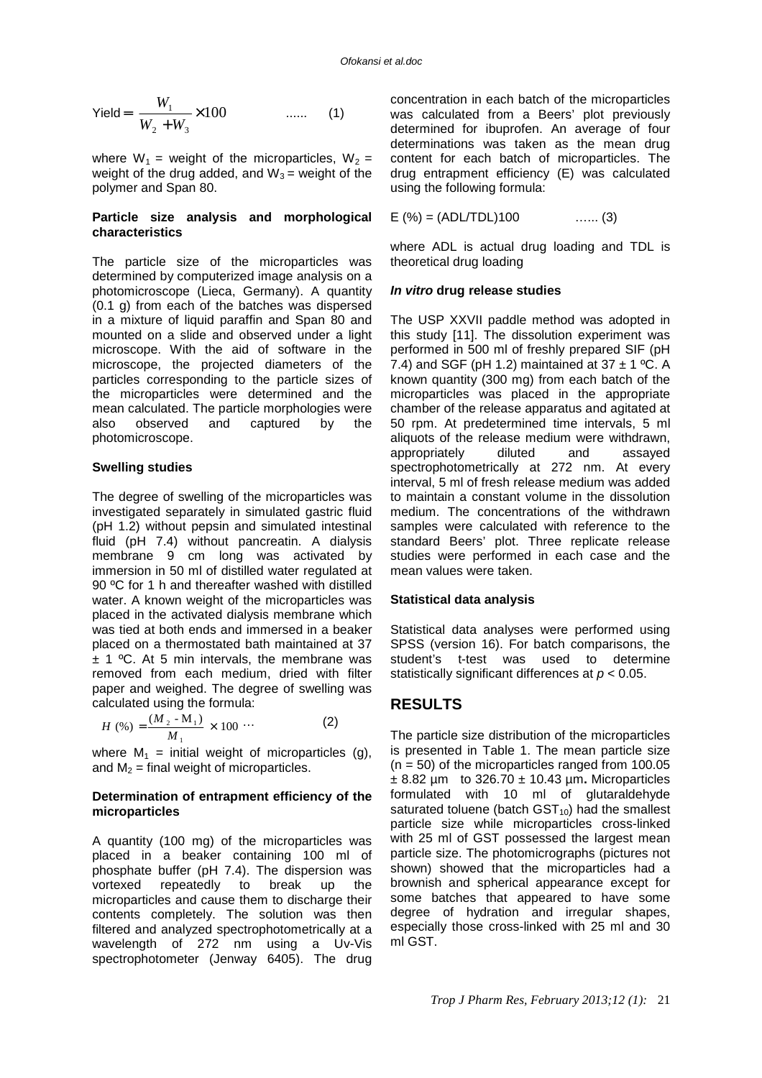$$
\text{Yield} = \frac{W_1}{W_2 + W_3} \times 100 \quad \text{......} \quad (1)
$$

where  $W_1$  = weight of the microparticles,  $W_2$  = weight of the drug added, and  $W_3$  = weight of the polymer and Span 80.

#### **Particle size analysis and morphological characteristics**

The particle size of the microparticles was determined by computerized image analysis on a photomicroscope (Lieca, Germany). A quantity (0.1 g) from each of the batches was dispersed in a mixture of liquid paraffin and Span 80 and mounted on a slide and observed under a light microscope. With the aid of software in the microscope, the projected diameters of the particles corresponding to the particle sizes of the microparticles were determined and the mean calculated. The particle morphologies were also observed and captured by the photomicroscope.

#### **Swelling studies**

The degree of swelling of the microparticles was investigated separately in simulated gastric fluid (pH 1.2) without pepsin and simulated intestinal fluid (pH 7.4) without pancreatin. A dialysis membrane 9 cm long was activated by immersion in 50 ml of distilled water regulated at 90 ºC for 1 h and thereafter washed with distilled water. A known weight of the microparticles was placed in the activated dialysis membrane which was tied at both ends and immersed in a beaker placed on a thermostated bath maintained at 37  $\pm$  1 °C. At 5 min intervals, the membrane was removed from each medium, dried with filter paper and weighed. The degree of swelling was calculated using the formula:

$$
H\,\left(\% \right) = \frac{(M_{2} - M_{1})}{M_{1}} \times 100\,\cdots\tag{2}
$$

where  $M_1$  = initial weight of microparticles (g), and  $M_2$  = final weight of microparticles.

#### **Determination of entrapment efficiency of the microparticles**

A quantity (100 mg) of the microparticles was placed in a beaker containing 100 ml of phosphate buffer (pH 7.4). The dispersion was vortexed repeatedly to break up the microparticles and cause them to discharge their contents completely. The solution was then filtered and analyzed spectrophotometrically at a wavelength of 272 nm using a Uv-Vis spectrophotometer (Jenway 6405). The drug

concentration in each batch of the microparticles was calculated from a Beers' plot previously determined for ibuprofen. An average of four determinations was taken as the mean drug content for each batch of microparticles. The drug entrapment efficiency (E) was calculated using the following formula:

 $E (%) = (ADL/TDL)100$  ...... (3)

where ADL is actual drug loading and TDL is theoretical drug loading

#### **In vitro drug release studies**

The USP XXVII paddle method was adopted in this study [11]. The dissolution experiment was performed in 500 ml of freshly prepared SIF (pH 7.4) and SGF (pH 1.2) maintained at  $37 \pm 1$  °C. A known quantity (300 mg) from each batch of the microparticles was placed in the appropriate chamber of the release apparatus and agitated at 50 rpm. At predetermined time intervals, 5 ml aliquots of the release medium were withdrawn, appropriately diluted and assayed spectrophotometrically at 272 nm. At every interval, 5 ml of fresh release medium was added to maintain a constant volume in the dissolution medium. The concentrations of the withdrawn samples were calculated with reference to the standard Beers' plot. Three replicate release studies were performed in each case and the mean values were taken.

#### **Statistical data analysis**

Statistical data analyses were performed using SPSS (version 16). For batch comparisons, the student's t-test was used to determine statistically significant differences at  $p < 0.05$ .

### **RESULTS**

The particle size distribution of the microparticles is presented in Table 1. The mean particle size  $(n = 50)$  of the microparticles ranged from 100.05 ± 8.82 µm to 326.70 ± 10.43 µm**.** Microparticles formulated with 10 ml of glutaraldehyde saturated toluene (batch  $GST_{10}$ ) had the smallest particle size while microparticles cross-linked with 25 ml of GST possessed the largest mean particle size. The photomicrographs (pictures not shown) showed that the microparticles had a brownish and spherical appearance except for some batches that appeared to have some degree of hydration and irregular shapes, especially those cross-linked with 25 ml and 30 ml GST.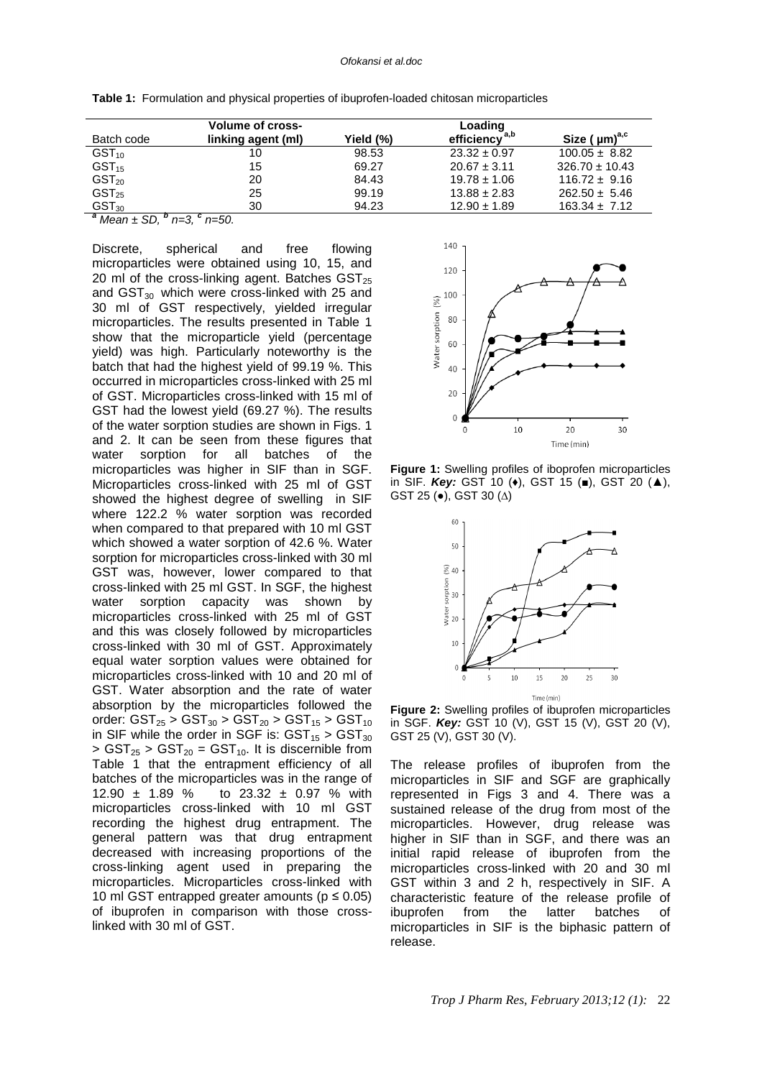|                   | Volume of cross-   |           | Loading                   |                       |
|-------------------|--------------------|-----------|---------------------------|-----------------------|
| Batch code        | linking agent (ml) | Yield (%) | efficiency <sup>a,b</sup> | Size $( \mu m)^{a,c}$ |
| GST <sub>10</sub> | 10                 | 98.53     | $23.32 \pm 0.97$          | $100.05 \pm 8.82$     |
| GST <sub>15</sub> | 15                 | 69.27     | $20.67 \pm 3.11$          | $326.70 \pm 10.43$    |
| $GST_{20}$        | 20                 | 84.43     | $19.78 \pm 1.06$          | $116.72 \pm 9.16$     |
| $GST_{25}$        | 25                 | 99.19     | $13.88 \pm 2.83$          | $262.50 \pm 5.46$     |
| GST <sub>30</sub> | 30                 | 94.23     | $12.90 \pm 1.89$          | $163.34 \pm 7.12$     |

**Table 1:** Formulation and physical properties of ibuprofen-loaded chitosan microparticles

**a**  $Mean \pm SD, \frac{b}{n=3}$ ,  $c$   $n=50$ .

Discrete, spherical and free flowing microparticles were obtained using 10, 15, and 20 ml of the cross-linking agent. Batches  $GST_{25}$ and  $GST_{30}$  which were cross-linked with 25 and 30 ml of GST respectively, yielded irregular microparticles. The results presented in Table 1 show that the microparticle yield (percentage yield) was high. Particularly noteworthy is the batch that had the highest yield of 99.19 %. This occurred in microparticles cross-linked with 25 ml of GST. Microparticles cross-linked with 15 ml of GST had the lowest yield (69.27 %). The results of the water sorption studies are shown in Figs. 1 and 2. It can be seen from these figures that water sorption for all batches of the microparticles was higher in SIF than in SGF. Microparticles cross-linked with 25 ml of GST showed the highest degree of swelling in SIF where 122.2 % water sorption was recorded when compared to that prepared with 10 ml GST which showed a water sorption of 42.6 %. Water sorption for microparticles cross-linked with 30 ml GST was, however, lower compared to that cross-linked with 25 ml GST. In SGF, the highest water sorption capacity was shown by microparticles cross-linked with 25 ml of GST and this was closely followed by microparticles cross-linked with 30 ml of GST. Approximately equal water sorption values were obtained for microparticles cross-linked with 10 and 20 ml of GST. Water absorption and the rate of water absorption by the microparticles followed the order:  $GST_{25} > GST_{30} > GST_{20} > GST_{15} > GST_{10}$ in SIF while the order in SGF is:  $GST_{15} > GST_{30}$  $>$  GST<sub>25</sub>  $>$  GST<sub>20</sub> = GST<sub>10</sub>. It is discernible from Table 1 that the entrapment efficiency of all batches of the microparticles was in the range of 12.90 ± 1.89 % to 23.32 ± 0.97 % with microparticles cross-linked with 10 ml GST recording the highest drug entrapment. The general pattern was that drug entrapment decreased with increasing proportions of the cross-linking agent used in preparing the microparticles. Microparticles cross-linked with 10 ml GST entrapped greater amounts ( $p \le 0.05$ ) of ibuprofen in comparison with those crosslinked with 30 ml of GST.



**Figure 1:** Swelling profiles of iboprofen microparticles in SIF. **Key:** GST 10 (♦), GST 15 (■), GST 20 (▲), GST 25 ( $\bullet$ ), GST 30 ( $\Delta$ )



**Figure 2:** Swelling profiles of ibuprofen microparticles in SGF. **Key:** GST 10 (V), GST 15 (V), GST 20 (V), GST 25 (V), GST 30 (V).

The release profiles of ibuprofen from the microparticles in SIF and SGF are graphically represented in Figs 3 and 4. There was a sustained release of the drug from most of the microparticles. However, drug release was higher in SIF than in SGF, and there was an initial rapid release of ibuprofen from the microparticles cross-linked with 20 and 30 ml GST within 3 and 2 h, respectively in SIF. A characteristic feature of the release profile of ibuprofen from the latter batches of microparticles in SIF is the biphasic pattern of release.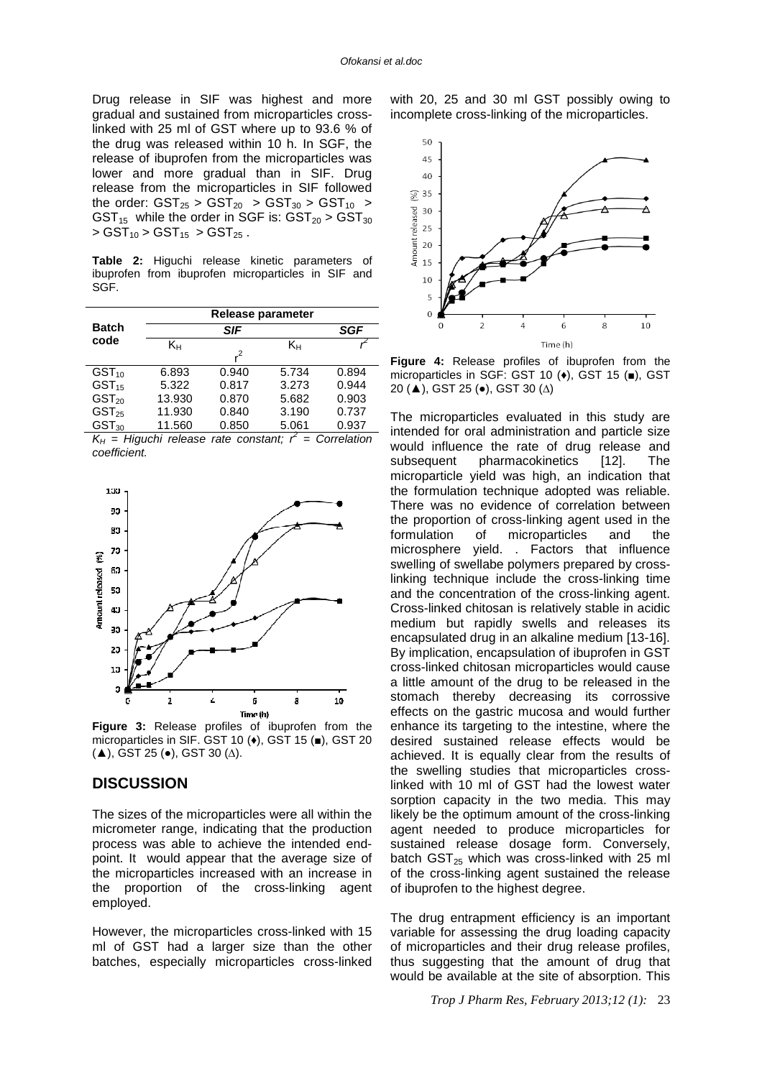Drug release in SIF was highest and more gradual and sustained from microparticles crosslinked with 25 ml of GST where up to 93.6 % of the drug was released within 10 h. In SGF, the release of ibuprofen from the microparticles was lower and more gradual than in SIF. Drug release from the microparticles in SIF followed the order:  $GST_{25} > GST_{20} > GST_{30} > GST_{10} >$  $GST_{15}$  while the order in SGF is:  $GST_{20} > GST_{30}$  $>$  GST<sub>10</sub>  $>$  GST<sub>15</sub>  $>$  GST<sub>25</sub>.

**Table 2:** Higuchi release kinetic parameters of ibuprofen from ibuprofen microparticles in SIF and SGF.

|                   | Release parameter |            |       |       |  |
|-------------------|-------------------|------------|-------|-------|--|
| <b>Batch</b>      |                   | <b>SIF</b> |       | SGF   |  |
| code              | Kн                |            | Kн    |       |  |
|                   |                   | $r^2$      |       |       |  |
| GST <sub>10</sub> | 6.893             | 0.940      | 5.734 | 0.894 |  |
| GST <sub>15</sub> | 5.322             | 0.817      | 3.273 | 0.944 |  |
| GST <sub>20</sub> | 13.930            | 0.870      | 5.682 | 0.903 |  |
| GST <sub>25</sub> | 11.930            | 0.840      | 3.190 | 0.737 |  |
| GST <sub>30</sub> | 11.560            | 0.850      | 5.061 | 0.937 |  |

 $K_H$  = Higuchi release rate constant;  $r^2$  = Correlation coefficient.



**Figure 3:** Release profiles of ibuprofen from the microparticles in SIF. GST 10 (♦), GST 15 (■), GST 20  $(A)$ , GST 25 ( $\bullet$ ), GST 30 ( $\Delta$ ).

#### **DISCUSSION**

The sizes of the microparticles were all within the micrometer range, indicating that the production process was able to achieve the intended endpoint. It would appear that the average size of the microparticles increased with an increase in the proportion of the cross-linking agent employed.

However, the microparticles cross-linked with 15 ml of GST had a larger size than the other batches, especially microparticles cross-linked

with 20, 25 and 30 ml GST possibly owing to incomplete cross-linking of the microparticles.



**Figure 4:** Release profiles of ibuprofen from the microparticles in SGF: GST 10 (♦), GST 15 (■), GST 20 (▲), GST 25 (●), GST 30 (∆)

The microparticles evaluated in this study are intended for oral administration and particle size would influence the rate of drug release and subsequent pharmacokinetics [12]. The microparticle yield was high, an indication that the formulation technique adopted was reliable. There was no evidence of correlation between the proportion of cross-linking agent used in the formulation of microparticles and the microsphere yield. . Factors that influence swelling of swellabe polymers prepared by crosslinking technique include the cross-linking time and the concentration of the cross-linking agent. Cross-linked chitosan is relatively stable in acidic medium but rapidly swells and releases its encapsulated drug in an alkaline medium [13-16]. By implication, encapsulation of ibuprofen in GST cross-linked chitosan microparticles would cause a little amount of the drug to be released in the stomach thereby decreasing its corrossive effects on the gastric mucosa and would further enhance its targeting to the intestine, where the desired sustained release effects would be achieved. It is equally clear from the results of the swelling studies that microparticles crosslinked with 10 ml of GST had the lowest water sorption capacity in the two media. This may likely be the optimum amount of the cross-linking agent needed to produce microparticles for sustained release dosage form. Conversely, batch  $GST_{25}$  which was cross-linked with 25 ml of the cross-linking agent sustained the release of ibuprofen to the highest degree.

The drug entrapment efficiency is an important variable for assessing the drug loading capacity of microparticles and their drug release profiles, thus suggesting that the amount of drug that would be available at the site of absorption. This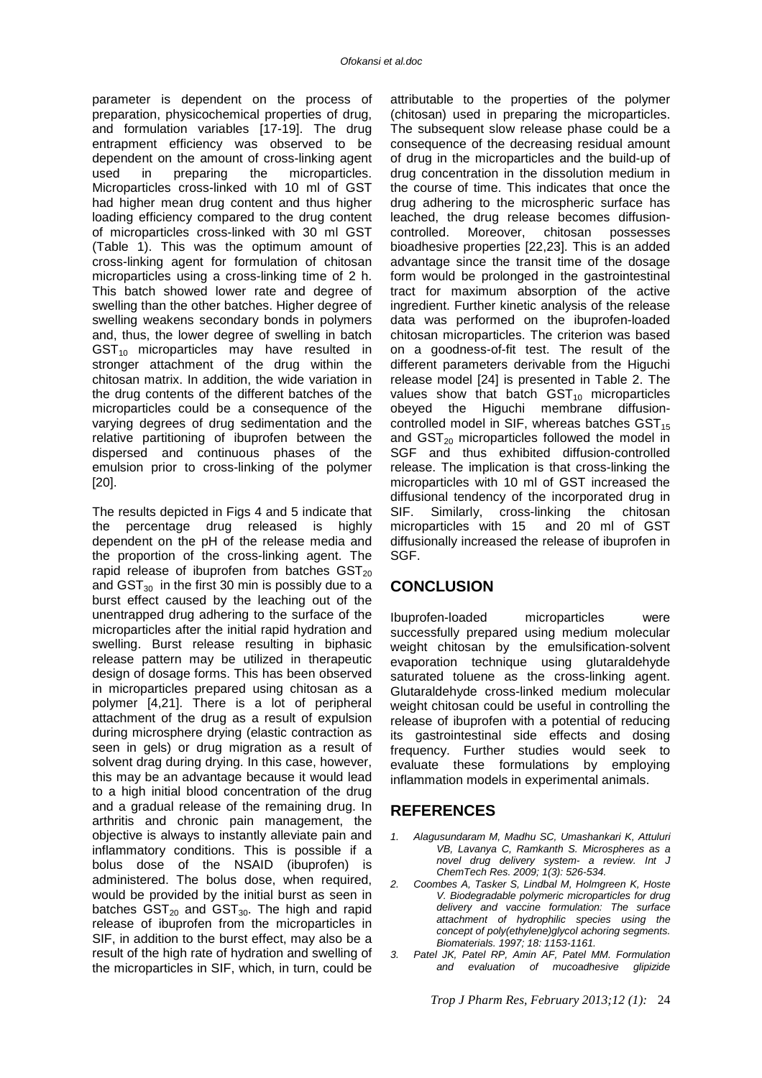parameter is dependent on the process of preparation, physicochemical properties of drug, and formulation variables [17-19]. The drug entrapment efficiency was observed to be dependent on the amount of cross-linking agent<br>used in preparing the microparticles. used in preparing the microparticles. Microparticles cross-linked with 10 ml of GST had higher mean drug content and thus higher loading efficiency compared to the drug content of microparticles cross-linked with 30 ml GST (Table 1). This was the optimum amount of cross-linking agent for formulation of chitosan microparticles using a cross-linking time of 2 h. This batch showed lower rate and degree of swelling than the other batches. Higher degree of swelling weakens secondary bonds in polymers and, thus, the lower degree of swelling in batch  $GST<sub>10</sub>$  microparticles may have resulted in stronger attachment of the drug within the chitosan matrix. In addition, the wide variation in the drug contents of the different batches of the microparticles could be a consequence of the varying degrees of drug sedimentation and the relative partitioning of ibuprofen between the dispersed and continuous phases of the emulsion prior to cross-linking of the polymer [20].

The results depicted in Figs 4 and 5 indicate that the percentage drug released is highly dependent on the pH of the release media and the proportion of the cross-linking agent. The rapid release of ibuprofen from batches  $GST_{20}$ and  $GST_{30}$  in the first 30 min is possibly due to a burst effect caused by the leaching out of the unentrapped drug adhering to the surface of the microparticles after the initial rapid hydration and swelling. Burst release resulting in biphasic release pattern may be utilized in therapeutic design of dosage forms. This has been observed in microparticles prepared using chitosan as a polymer [4,21]. There is a lot of peripheral attachment of the drug as a result of expulsion during microsphere drying (elastic contraction as seen in gels) or drug migration as a result of solvent drag during drying. In this case, however, this may be an advantage because it would lead to a high initial blood concentration of the drug and a gradual release of the remaining drug. In arthritis and chronic pain management, the objective is always to instantly alleviate pain and inflammatory conditions. This is possible if a bolus dose of the NSAID (ibuprofen) is administered. The bolus dose, when required, would be provided by the initial burst as seen in batches  $GST_{20}$  and  $GST_{30}$ . The high and rapid release of ibuprofen from the microparticles in SIF, in addition to the burst effect, may also be a result of the high rate of hydration and swelling of the microparticles in SIF, which, in turn, could be

attributable to the properties of the polymer (chitosan) used in preparing the microparticles. The subsequent slow release phase could be a consequence of the decreasing residual amount of drug in the microparticles and the build-up of drug concentration in the dissolution medium in the course of time. This indicates that once the drug adhering to the microspheric surface has leached, the drug release becomes diffusioncontrolled. Moreover, chitosan possesses bioadhesive properties [22,23]. This is an added advantage since the transit time of the dosage form would be prolonged in the gastrointestinal tract for maximum absorption of the active ingredient. Further kinetic analysis of the release data was performed on the ibuprofen-loaded chitosan microparticles. The criterion was based on a goodness-of-fit test. The result of the different parameters derivable from the Higuchi release model [24] is presented in Table 2. The values show that batch  $GST_{10}$  microparticles obeyed the Higuchi membrane diffusioncontrolled model in SIF, whereas batches  $GST<sub>15</sub>$ and  $GST_{20}$  microparticles followed the model in SGF and thus exhibited diffusion-controlled release. The implication is that cross-linking the microparticles with 10 ml of GST increased the diffusional tendency of the incorporated drug in SIF. Similarly, cross-linking the chitosan microparticles with 15 and 20 ml of GST diffusionally increased the release of ibuprofen in SGF.

### **CONCLUSION**

Ibuprofen-loaded microparticles were successfully prepared using medium molecular weight chitosan by the emulsification-solvent evaporation technique using glutaraldehyde saturated toluene as the cross-linking agent. Glutaraldehyde cross-linked medium molecular weight chitosan could be useful in controlling the release of ibuprofen with a potential of reducing its gastrointestinal side effects and dosing frequency. Further studies would seek to evaluate these formulations by employing inflammation models in experimental animals.

### **REFERENCES**

- 1. Alagusundaram M, Madhu SC, Umashankari K, Attuluri VB, Lavanya C, Ramkanth S. Microspheres as a novel drug delivery system- a review. Int J ChemTech Res. 2009; 1(3): 526-534.
- 2. Coombes A, Tasker S, Lindbal M, Holmgreen K, Hoste V. Biodegradable polymeric microparticles for drug delivery and vaccine formulation: The surface attachment of hydrophilic species using the concept of poly(ethylene)glycol achoring segments. Biomaterials. 1997; 18: 1153-1161.
- 3. Patel JK, Patel RP, Amin AF, Patel MM. Formulation and evaluation of mucoadhesive glipizide